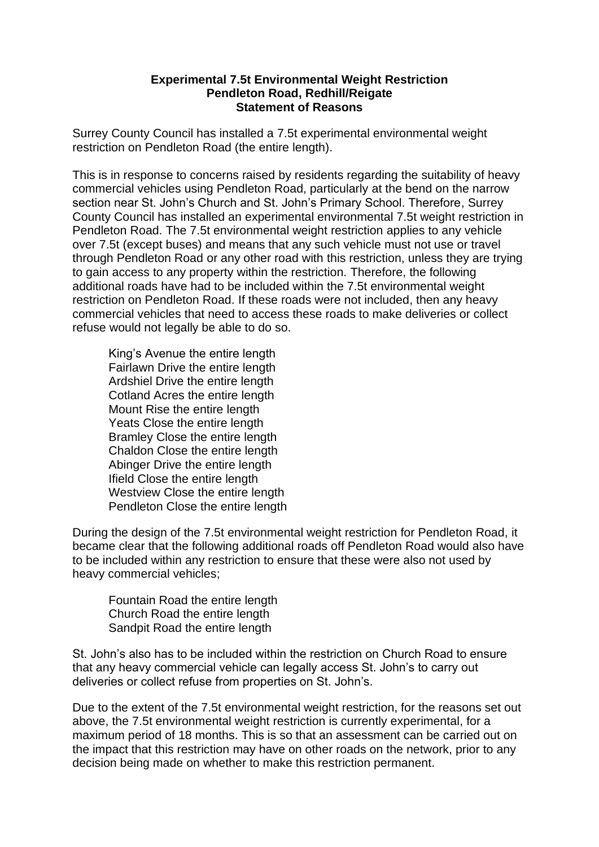## **Experimental 7.5t Environmental Weight Restriction Pendleton Road, Redhill/Reigate Statement of Reasons**

Surrey County Council has installed a 7.5t experimental environmental weight restriction on Pendleton Road (the entire length).

This is in response to concerns raised by residents regarding the suitability of heavy commercial vehicles using Pendleton Road, particularly at the bend on the narrow section near St. John's Church and St. John's Primary School. Therefore, Surrey County Council has installed an experimental environmental 7.5t weight restriction in Pendleton Road. The 7.5t environmental weight restriction applies to any vehicle over 7.5t (except buses) and means that any such vehicle must not use or travel through Pendleton Road or any other road with this restriction, unless they are trying to gain access to any property within the restriction. Therefore, the following additional roads have had to be included within the 7.5t environmental weight restriction on Pendleton Road. If these roads were not included, then any heavy commercial vehicles that need to access these roads to make deliveries or collect refuse would not legally be able to do so.

King's Avenue the entire length Fairlawn Drive the entire length Ardshiel Drive the entire length Cotland Acres the entire length Mount Rise the entire length Yeats Close the entire length Bramley Close the entire length Chaldon Close the entire length Abinger Drive the entire length Ifield Close the entire length Westview Close the entire length Pendleton Close the entire length

During the design of the 7.5t environmental weight restriction for Pendleton Road, it became clear that the following additional roads off Pendleton Road would also have to be included within any restriction to ensure that these were also not used by heavy commercial vehicles;

Fountain Road the entire length Church Road the entire length Sandpit Road the entire length

St. John's also has to be included within the restriction on Church Road to ensure that any heavy commercial vehicle can legally access St. John's to carry out deliveries or collect refuse from properties on St. John's.

Due to the extent of the 7.5t environmental weight restriction, for the reasons set out above, the 7.5t environmental weight restriction is currently experimental, for a maximum period of 18 months. This is so that an assessment can be carried out on the impact that this restriction may have on other roads on the network, prior to any decision being made on whether to make this restriction permanent.